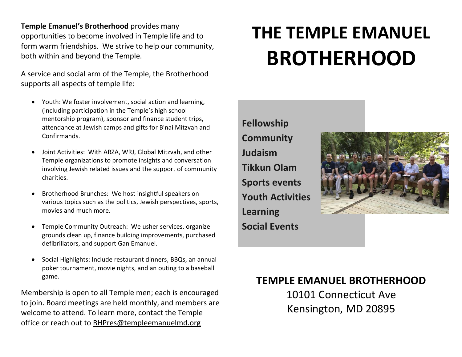**Temple Emanuel's Brotherhood** provides many opportunities to become involved in Temple life and to form warm friendships. We strive to help our community, both within and beyond the Temple.

A service and social arm of the Temple, the Brotherhood supports all aspects of temple life:

- Youth: We foster involvement, social action and learning, (including participation in the Temple's high school mentorship program), sponsor and finance student trips, attendance at Jewish camps and gifts for B'nai Mitzvah and Confirmands.
- Joint Activities: With ARZA, WRJ, Global Mitzvah, and other Temple organizations to promote insights and conversation involving Jewish related issues and the support of community charities.
- Brotherhood Brunches: We host insightful speakers on various topics such as the politics, Jewish perspectives, sports, movies and much more.
- Temple Community Outreach: We usher services, organize grounds clean up, finance building improvements, purchased defibrillators, and support Gan Emanuel.
- Social Highlights: Include restaurant dinners, BBQs, an annual poker tournament, movie nights, and an outing to a baseball game.

Membership is open to all Temple men; each is encouraged to join. Board meetings are held monthly, and members are welcome to attend. To learn more, contact the Temple office or reach out to [BHPres@templeemanuelmd.org](mailto:BHPres@templeemanuelmd.org) 

# **THE TEMPLE EMANUEL BROTHERHOOD**

**Fellowship Community Judaism Tikkun Olam Sports events Youth Activities Learning Social Events**



## **TEMPLE EMANUEL BROTHERHOOD**

10101 Connecticut Ave Kensington, MD 20895